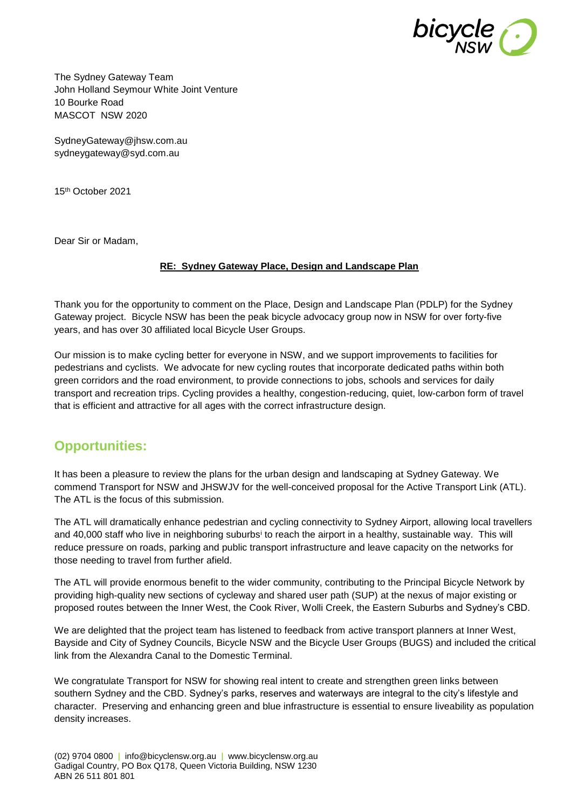

The Sydney Gateway Team John Holland Seymour White Joint Venture 10 Bourke Road MASCOT NSW 2020

[SydneyGateway@jhsw.com.au](mailto:SydneyGateway@jhsw.com.au) [sydneygateway@syd.com.au](mailto:sydneygateway@syd.com.au)

15th October 2021

Dear Sir or Madam,

#### **RE: Sydney Gateway Place, Design and Landscape Plan**

Thank you for the opportunity to comment on the Place, Design and Landscape Plan (PDLP) for the Sydney Gateway project. Bicycle NSW has been the peak bicycle advocacy group now in NSW for over forty-five years, and has over 30 affiliated local Bicycle User Groups.

Our mission is to make cycling better for everyone in NSW, and we support improvements to facilities for pedestrians and cyclists. We advocate for new cycling routes that incorporate dedicated paths within both green corridors and the road environment, to provide connections to jobs, schools and services for daily transport and recreation trips. Cycling provides a healthy, congestion-reducing, quiet, low-carbon form of travel that is efficient and attractive for all ages with the correct infrastructure design.

### **Opportunities:**

It has been a pleasure to review the plans for the urban design and landscaping at Sydney Gateway. We commend Transport for NSW and JHSWJV for the well-conceived proposal for the Active Transport Link (ATL). The ATL is the focus of this submission.

The ATL will dramatically enhance pedestrian and cycling connectivity to Sydney Airport, allowing local travellers and 40,000 staff who live in neighboring suburbs<sup>i</sup> to reach the airport in a healthy, sustainable way. This will reduce pressure on roads, parking and public transport infrastructure and leave capacity on the networks for those needing to travel from further afield.

The ATL will provide enormous benefit to the wider community, contributing to the Principal Bicycle Network by providing high-quality new sections of cycleway and shared user path (SUP) at the nexus of major existing or proposed routes between the Inner West, the Cook River, Wolli Creek, the Eastern Suburbs and Sydney's CBD.

We are delighted that the project team has listened to feedback from active transport planners at Inner West, Bayside and City of Sydney Councils, Bicycle NSW and the Bicycle User Groups (BUGS) and included the critical link from the Alexandra Canal to the Domestic Terminal.

We congratulate Transport for NSW for showing real intent to create and strengthen green links between southern Sydney and the CBD. Sydney's parks, reserves and waterways are integral to the city's lifestyle and character. Preserving and enhancing green and blue infrastructure is essential to ensure liveability as population density increases.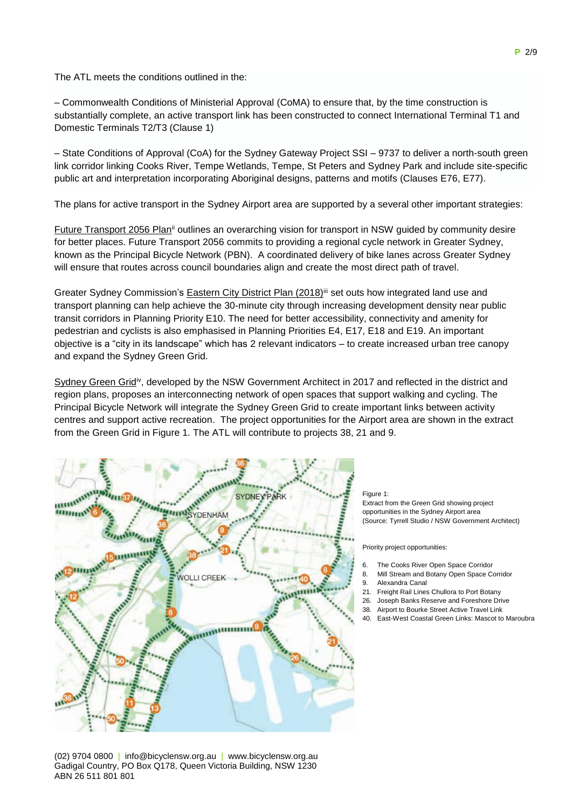The ATL meets the conditions outlined in the:

– Commonwealth Conditions of Ministerial Approval (CoMA) to ensure that, by the time construction is substantially complete, an active transport link has been constructed to connect International Terminal T1 and Domestic Terminals T2/T3 (Clause 1)

– State Conditions of Approval (CoA) for the Sydney Gateway Project SSI – 9737 to deliver a north-south green link corridor linking Cooks River, Tempe Wetlands, Tempe, St Peters and Sydney Park and include site-specific public art and interpretation incorporating Aboriginal designs, patterns and motifs (Clauses E76, E77).

The plans for active transport in the Sydney Airport area are supported by a several other important strategies:

Future Transport 2056 Planii outlines an overarching vision for transport in NSW guided by community desire for better places. Future Transport 2056 commits to providing a regional cycle network in Greater Sydney, known as the Principal Bicycle Network (PBN). A coordinated delivery of bike lanes across Greater Sydney will ensure that routes across council boundaries align and create the most direct path of travel.

Greater Sydney Commission's Eastern City District Plan (2018)<sup>iii</sup> set outs how integrated land use and transport planning can help achieve the 30-minute city through increasing development density near public transit corridors in Planning Priority E10. The need for better accessibility, connectivity and amenity for pedestrian and cyclists is also emphasised in Planning Priorities E4, E17, E18 and E19. An important objective is a "city in its landscape" which has 2 relevant indicators – to create increased urban tree canopy and expand the Sydney Green Grid.

Sydney Green Grid<sup>iv</sup>, developed by the NSW Government Architect in 2017 and reflected in the district and region plans, proposes an interconnecting network of open spaces that support walking and cycling. The Principal Bicycle Network will integrate the Sydney Green Grid to create important links between activity centres and support active recreation. The project opportunities for the Airport area are shown in the extract from the Green Grid in Figure 1. The ATL will contribute to projects 38, 21 and 9.



(02) 9704 0800 | info@bicyclensw.org.au | www.bicyclensw.org.au Gadigal Country, PO Box Q178, Queen Victoria Building, NSW 1230 ABN 26 511 801 801

#### Figure 1:

Extract from the Green Grid showing project opportunities in the Sydney Airport area (Source: Tyrrell Studio / NSW Government Architect)

Priority project opportunities:

- 6. The Cooks River Open Space Corridor
- 8. Mill Stream and Botany Open Space Corridor
- 9. Alexandra Canal
- 21. Freight Rail Lines Chullora to Port Botany
- 26. Joseph Banks Reserve and Foreshore Drive
- 38. Airport to Bourke Street Active Travel Link
- 40. East-West Coastal Green Links: Mascot to Maroubra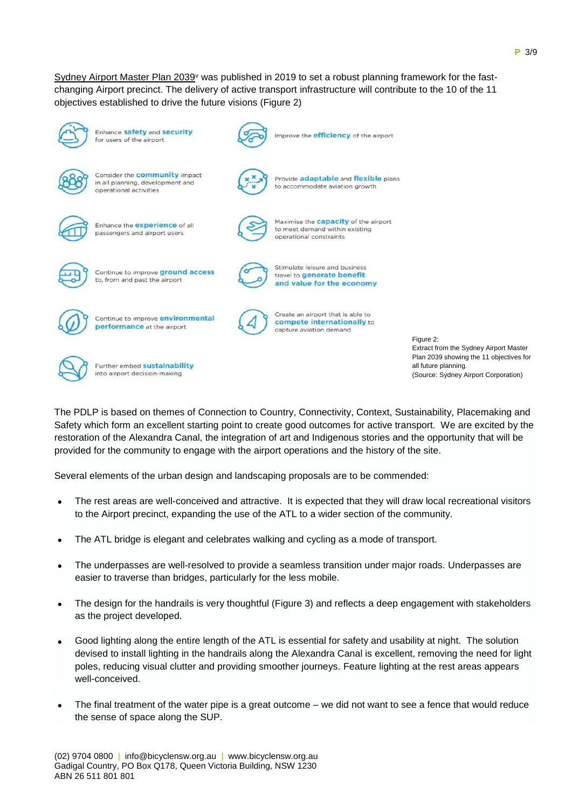Sydney Airport Master Plan 2039<sup>v</sup> was published in 2019 to set a robust planning framework for the fastchanging Airport precinct. The delivery of active transport infrastructure will contribute to the 10 of the 11 objectives established to drive the future visions (Figure 2)



Enhance safety and security for users of the airport



Consider the **community** impact in all planning, development and operational activities



Provide adaptable and flexible plans to accommodate aviation growth

Improve the **efficiency** of the airport



Enhance the **experience** of all passengers and airport users

to, from and past the airport

Continue to improve ground access



Maximise the capacity of the airport to meet demand within existing operational constraints



Stimulate leisure and business travel to generate benefit and value for the economy



Create an airport that is able to compete internationally to capture aviation demand

Further embed sustainability into airport decision-making

performance at the airport

Figure 2: Extract from the Sydney Airport Master Plan 2039 showing the 11 objectives for all future planning. (Source: Sydney Airport Corporation)

The PDLP is based on themes of Connection to Country, Connectivity, Context, Sustainability, Placemaking and Safety which form an excellent starting point to create good outcomes for active transport. We are excited by the restoration of the Alexandra Canal, the integration of art and Indigenous stories and the opportunity that will be provided for the community to engage with the airport operations and the history of the site.

Several elements of the urban design and landscaping proposals are to be commended:

- The rest areas are well-conceived and attractive. It is expected that they will draw local recreational visitors to the Airport precinct, expanding the use of the ATL to a wider section of the community.
- The ATL bridge is elegant and celebrates walking and cycling as a mode of transport.
- The underpasses are well-resolved to provide a seamless transition under major roads. Underpasses are easier to traverse than bridges, particularly for the less mobile.
- The design for the handrails is very thoughtful (Figure 3) and reflects a deep engagement with stakeholders as the project developed.
- Good lighting along the entire length of the ATL is essential for safety and usability at night. The solution devised to install lighting in the handrails along the Alexandra Canal is excellent, removing the need for light poles, reducing visual clutter and providing smoother journeys. Feature lighting at the rest areas appears well-conceived.
- The final treatment of the water pipe is a great outcome we did not want to see a fence that would reduce the sense of space along the SUP.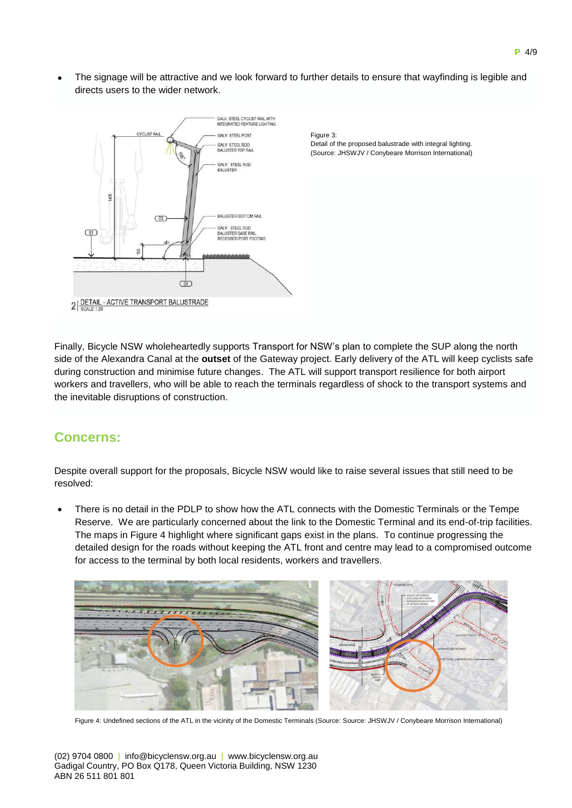The signage will be attractive and we look forward to further details to ensure that wayfinding is legible and directs users to the wider network.



Figure 3: Detail of the proposed balustrade with integral lighting. (Source: JHSWJV / Conybeare Morrison International)

Finally, Bicycle NSW wholeheartedly supports Transport for NSW's plan to complete the SUP along the north side of the Alexandra Canal at the **outset** of the Gateway project. Early delivery of the ATL will keep cyclists safe during construction and minimise future changes. The ATL will support transport resilience for both airport workers and travellers, who will be able to reach the terminals regardless of shock to the transport systems and the inevitable disruptions of construction.

# **Concerns:**

Despite overall support for the proposals, Bicycle NSW would like to raise several issues that still need to be resolved:

 There is no detail in the PDLP to show how the ATL connects with the Domestic Terminals or the Tempe Reserve. We are particularly concerned about the link to the Domestic Terminal and its end-of-trip facilities. The maps in Figure 4 highlight where significant gaps exist in the plans. To continue progressing the detailed design for the roads without keeping the ATL front and centre may lead to a compromised outcome for access to the terminal by both local residents, workers and travellers.



Figure 4: Undefined sections of the ATL in the vicinity of the Domestic Terminals (Source: Source: JHSWJV / Conybeare Morrison International)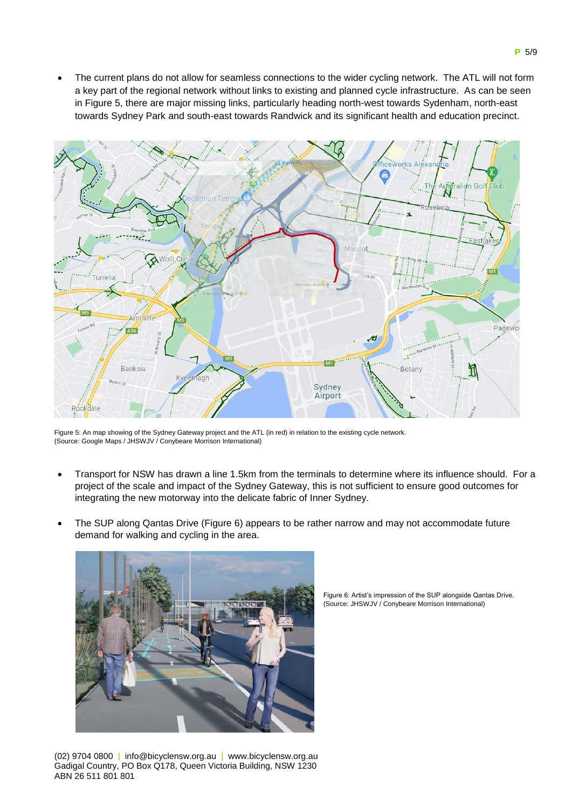The current plans do not allow for seamless connections to the wider cycling network. The ATL will not form a key part of the regional network without links to existing and planned cycle infrastructure. As can be seen in Figure 5, there are major missing links, particularly heading north-west towards Sydenham, north-east towards Sydney Park and south-east towards Randwick and its significant health and education precinct.



Figure 5: An map showing of the Sydney Gateway project and the ATL (in red) in relation to the existing cycle network. (Source: Google Maps / JHSWJV / Conybeare Morrison International)

- Transport for NSW has drawn a line 1.5km from the terminals to determine where its influence should. For a project of the scale and impact of the Sydney Gateway, this is not sufficient to ensure good outcomes for integrating the new motorway into the delicate fabric of Inner Sydney.
- The SUP along Qantas Drive (Figure 6) appears to be rather narrow and may not accommodate future demand for walking and cycling in the area.



(02) 9704 0800 | info@bicyclensw.org.au | www.bicyclensw.org.au Gadigal Country, PO Box Q178, Queen Victoria Building, NSW 1230 ABN 26 511 801 801

Figure 6: Artist's impression of the SUP alongside Qantas Drive. (Source: JHSWJV / Conybeare Morrison International)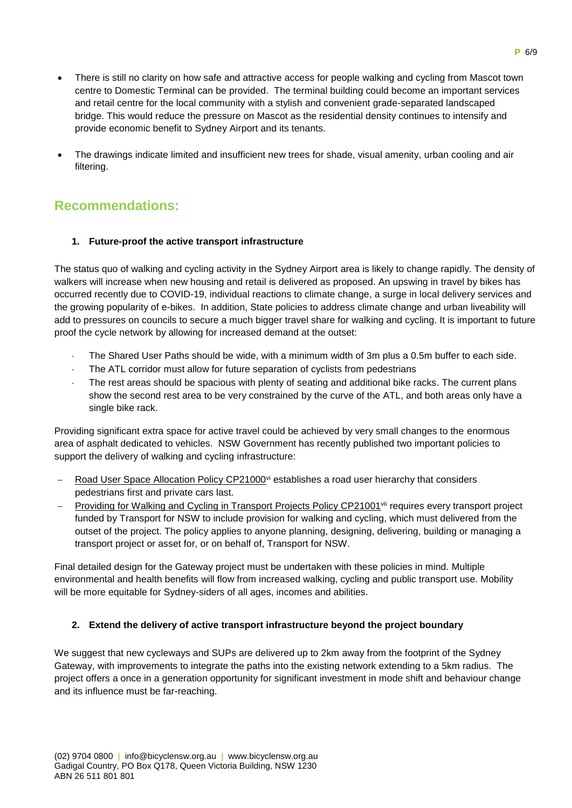- There is still no clarity on how safe and attractive access for people walking and cycling from Mascot town centre to Domestic Terminal can be provided. The terminal building could become an important services and retail centre for the local community with a stylish and convenient grade-separated landscaped bridge. This would reduce the pressure on Mascot as the residential density continues to intensify and provide economic benefit to Sydney Airport and its tenants.
- The drawings indicate limited and insufficient new trees for shade, visual amenity, urban cooling and air filtering.

# **Recommendations:**

### **1. Future-proof the active transport infrastructure**

The status quo of walking and cycling activity in the Sydney Airport area is likely to change rapidly. The density of walkers will increase when new housing and retail is delivered as proposed. An upswing in travel by bikes has occurred recently due to COVID-19, individual reactions to climate change, a surge in local delivery services and the growing popularity of e-bikes. In addition, State policies to address climate change and urban liveability will add to pressures on councils to secure a much bigger travel share for walking and cycling. It is important to future proof the cycle network by allowing for increased demand at the outset:

- The Shared User Paths should be wide, with a minimum width of 3m plus a 0.5m buffer to each side.
- The ATL corridor must allow for future separation of cyclists from pedestrians
- The rest areas should be spacious with plenty of seating and additional bike racks. The current plans show the second rest area to be very constrained by the curve of the ATL, and both areas only have a single bike rack.

Providing significant extra space for active travel could be achieved by very small changes to the enormous area of asphalt dedicated to vehicles. NSW Government has recently published two important policies to support the delivery of walking and cycling infrastructure:

- Road User Space Allocation Policy CP21000<sup>vi</sup> establishes a road user hierarchy that considers pedestrians first and private cars last.
- Providing for Walking and Cycling in Transport Projects Policy CP21001<sup>vii</sup> requires every transport project funded by Transport for NSW to include provision for walking and cycling, which must delivered from the outset of the project. The policy applies to anyone planning, designing, delivering, building or managing a transport project or asset for, or on behalf of, Transport for NSW.

Final detailed design for the Gateway project must be undertaken with these policies in mind. Multiple environmental and health benefits will flow from increased walking, cycling and public transport use. Mobility will be more equitable for Sydney-siders of all ages, incomes and abilities.

### **2. Extend the delivery of active transport infrastructure beyond the project boundary**

We suggest that new cycleways and SUPs are delivered up to 2km away from the footprint of the Sydney Gateway, with improvements to integrate the paths into the existing network extending to a 5km radius. The project offers a once in a generation opportunity for significant investment in mode shift and behaviour change and its influence must be far-reaching.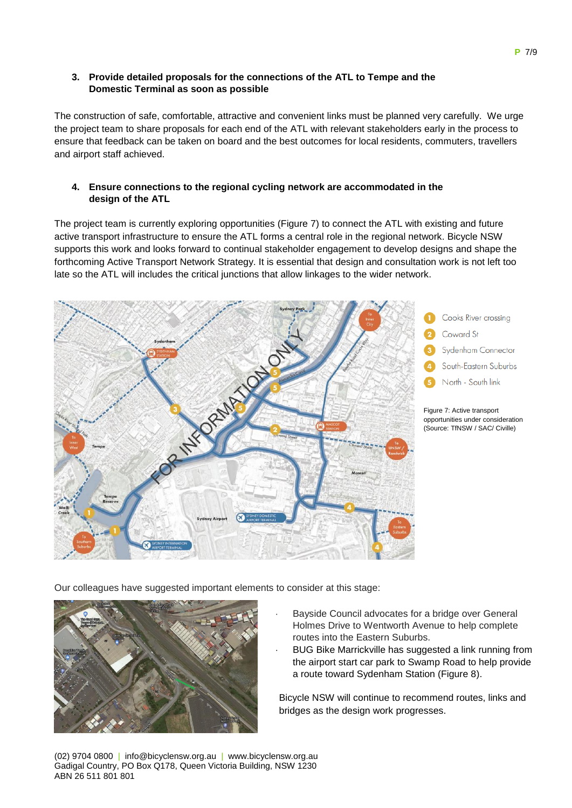#### **3. Provide detailed proposals for the connections of the ATL to Tempe and the Domestic Terminal as soon as possible**

The construction of safe, comfortable, attractive and convenient links must be planned very carefully. We urge the project team to share proposals for each end of the ATL with relevant stakeholders early in the process to ensure that feedback can be taken on board and the best outcomes for local residents, commuters, travellers and airport staff achieved.

#### **4. Ensure connections to the regional cycling network are accommodated in the design of the ATL**

The project team is currently exploring opportunities (Figure 7) to connect the ATL with existing and future active transport infrastructure to ensure the ATL forms a central role in the regional network. Bicycle NSW supports this work and looks forward to continual stakeholder engagement to develop designs and shape the forthcoming Active Transport Network Strategy. It is essential that design and consultation work is not left too late so the ATL will includes the critical junctions that allow linkages to the wider network.



Our colleagues have suggested important elements to consider at this stage:



- Bayside Council advocates for a bridge over General Holmes Drive to Wentworth Avenue to help complete routes into the Eastern Suburbs.
- BUG Bike Marrickville has suggested a link running from the airport start car park to Swamp Road to help provide a route toward Sydenham Station (Figure 8).

Bicycle NSW will continue to recommend routes, links and bridges as the design work progresses.

(02) 9704 0800 | info@bicyclensw.org.au | www.bicyclensw.org.au Gadigal Country, PO Box Q178, Queen Victoria Building, NSW 1230 ABN 26 511 801 801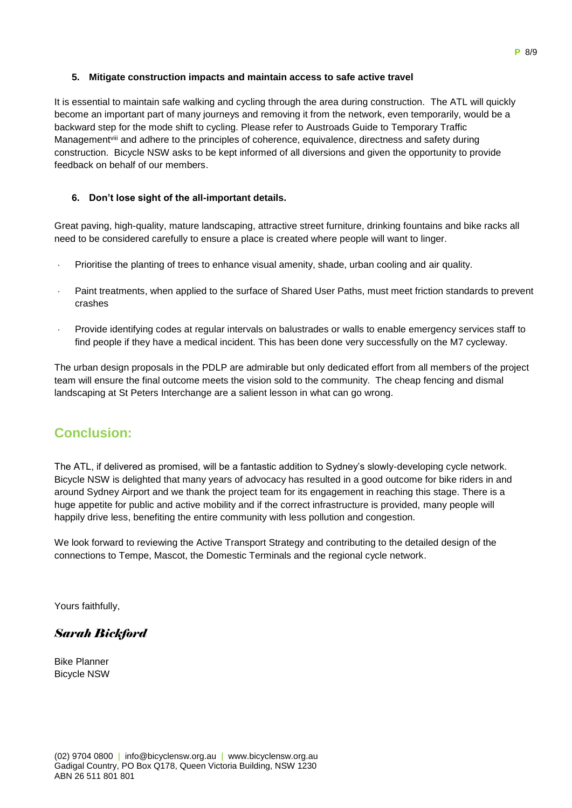#### **5. Mitigate construction impacts and maintain access to safe active travel**

It is essential to maintain safe walking and cycling through the area during construction. The ATL will quickly become an important part of many journeys and removing it from the network, even temporarily, would be a backward step for the mode shift to cycling. Please refer to Austroads Guide to Temporary Traffic Managementviii and adhere to the principles of coherence, equivalence, directness and safety during construction. Bicycle NSW asks to be kept informed of all diversions and given the opportunity to provide feedback on behalf of our members.

#### **6. Don't lose sight of the all-important details.**

Great paving, high-quality, mature landscaping, attractive street furniture, drinking fountains and bike racks all need to be considered carefully to ensure a place is created where people will want to linger.

- Prioritise the planting of trees to enhance visual amenity, shade, urban cooling and air quality.
- Paint treatments, when applied to the surface of Shared User Paths, must meet friction standards to prevent crashes
- Provide identifying codes at regular intervals on balustrades or walls to enable emergency services staff to find people if they have a medical incident. This has been done very successfully on the M7 cycleway.

The urban design proposals in the PDLP are admirable but only dedicated effort from all members of the project team will ensure the final outcome meets the vision sold to the community. The cheap fencing and dismal landscaping at St Peters Interchange are a salient lesson in what can go wrong.

# **Conclusion:**

The ATL, if delivered as promised, will be a fantastic addition to Sydney's slowly-developing cycle network. Bicycle NSW is delighted that many years of advocacy has resulted in a good outcome for bike riders in and around Sydney Airport and we thank the project team for its engagement in reaching this stage. There is a huge appetite for public and active mobility and if the correct infrastructure is provided, many people will happily drive less, benefiting the entire community with less pollution and congestion.

We look forward to reviewing the Active Transport Strategy and contributing to the detailed design of the connections to Tempe, Mascot, the Domestic Terminals and the regional cycle network.

Yours faithfully,

### *Sarah Bickford*

Bike Planner Bicycle NSW